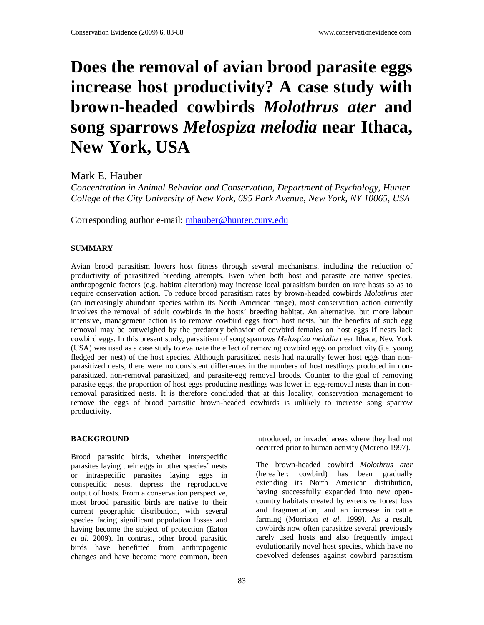# **Does the removal of avian brood parasite eggs increase host productivity? A case study with brown-headed cowbirds** *Molothrus ater* **and song sparrows** *Melospiza melodia* **near Ithaca, New York, USA**

Mark E. Hauber

*Concentration in Animal Behavior and Conservation, Department of Psychology, Hunter College of the City University of New York, 695 Park Avenue, New York, NY 10065, USA* 

Corresponding author e-mail: mhauber@hunter.cuny.edu

# **SUMMARY**

Avian brood parasitism lowers host fitness through several mechanisms, including the reduction of productivity of parasitized breeding attempts. Even when both host and parasite are native species, anthropogenic factors (e.g. habitat alteration) may increase local parasitism burden on rare hosts so as to require conservation action. To reduce brood parasitism rates by brown-headed cowbirds *Molothrus ate*r (an increasingly abundant species within its North American range), most conservation action currently involves the removal of adult cowbirds in the hosts' breeding habitat. An alternative, but more labour intensive, management action is to remove cowbird eggs from host nests, but the benefits of such egg removal may be outweighed by the predatory behavior of cowbird females on host eggs if nests lack cowbird eggs. In this present study, parasitism of song sparrows *Melospiza melodia* near Ithaca, New York (USA) was used as a case study to evaluate the effect of removing cowbird eggs on productivity (i.e. young fledged per nest) of the host species. Although parasitized nests had naturally fewer host eggs than nonparasitized nests, there were no consistent differences in the numbers of host nestlings produced in nonparasitized, non-removal parasitized, and parasite-egg removal broods. Counter to the goal of removing parasite eggs, the proportion of host eggs producing nestlings was lower in egg-removal nests than in nonremoval parasitized nests. It is therefore concluded that at this locality, conservation management to remove the eggs of brood parasitic brown-headed cowbirds is unlikely to increase song sparrow productivity.

# **BACKGROUND**

Brood parasitic birds, whether interspecific parasites laying their eggs in other species' nests or intraspecific parasites laying eggs in conspecific nests, depress the reproductive output of hosts. From a conservation perspective, most brood parasitic birds are native to their current geographic distribution, with several species facing significant population losses and having become the subject of protection (Eaton *et al*. 2009). In contrast, other brood parasitic birds have benefitted from anthropogenic changes and have become more common, been

introduced, or invaded areas where they had not occurred prior to human activity (Moreno 1997).

The brown-headed cowbird *Molothrus ater* (hereafter: cowbird) has been gradually extending its North American distribution, having successfully expanded into new opencountry habitats created by extensive forest loss and fragmentation, and an increase in cattle farming (Morrison *et al*. 1999). As a result, cowbirds now often parasitize several previously rarely used hosts and also frequently impact evolutionarily novel host species, which have no coevolved defenses against cowbird parasitism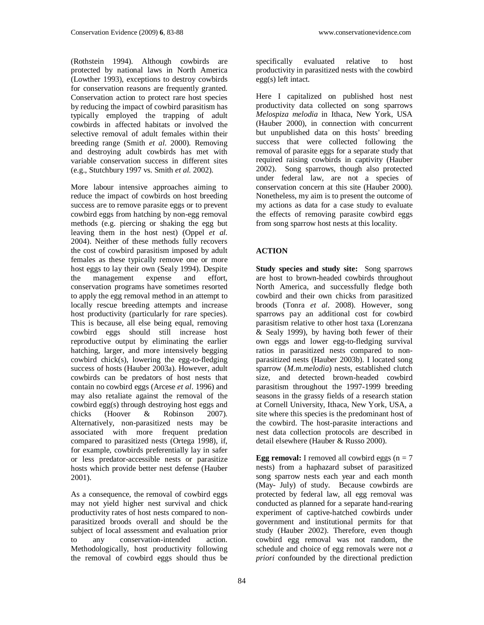(Rothstein 1994). Although cowbirds are protected by national laws in North America (Lowther 1993), exceptions to destroy cowbirds for conservation reasons are frequently granted. Conservation action to protect rare host species by reducing the impact of cowbird parasitism has typically employed the trapping of adult cowbirds in affected habitats or involved the selective removal of adult females within their breeding range (Smith *et al*. 2000). Removing and destroying adult cowbirds has met with variable conservation success in different sites (e.g., Stutchbury 1997 vs. Smith *et al.* 2002).

More labour intensive approaches aiming to reduce the impact of cowbirds on host breeding success are to remove parasite eggs or to prevent cowbird eggs from hatching by non-egg removal methods (e.g. piercing or shaking the egg but leaving them in the host nest) (Oppel *et al*. 2004). Neither of these methods fully recovers the cost of cowbird parasitism imposed by adult females as these typically remove one or more host eggs to lay their own (Sealy 1994). Despite the management expense and effort, conservation programs have sometimes resorted to apply the egg removal method in an attempt to locally rescue breeding attempts and increase host productivity (particularly for rare species). This is because, all else being equal, removing cowbird eggs should still increase host reproductive output by eliminating the earlier hatching, larger, and more intensively begging cowbird chick(s), lowering the egg-to-fledging success of hosts (Hauber 2003a). However, adult cowbirds can be predators of host nests that contain no cowbird eggs (Arcese *et al*. 1996) and may also retaliate against the removal of the cowbird egg(s) through destroying host eggs and chicks (Hoover & Robinson 2007). Alternatively, non-parasitized nests may be associated with more frequent predation compared to parasitized nests (Ortega 1998), if, for example, cowbirds preferentially lay in safer or less predator-accessible nests or parasitize hosts which provide better nest defense (Hauber 2001).

As a consequence, the removal of cowbird eggs may not yield higher nest survival and chick productivity rates of host nests compared to nonparasitized broods overall and should be the subject of local assessment and evaluation prior to any conservation-intended action. Methodologically, host productivity following the removal of cowbird eggs should thus be

specifically evaluated relative to host productivity in parasitized nests with the cowbird egg(s) left intact.

Here I capitalized on published host nest productivity data collected on song sparrows *Melospiza melodia* in Ithaca, New York, USA (Hauber 2000), in connection with concurrent but unpublished data on this hosts' breeding success that were collected following the removal of parasite eggs for a separate study that required raising cowbirds in captivity (Hauber 2002). Song sparrows, though also protected under federal law, are not a species of conservation concern at this site (Hauber 2000). Nonetheless, my aim is to present the outcome of my actions as data for a case study to evaluate the effects of removing parasite cowbird eggs from song sparrow host nests at this locality.

# **ACTION**

**Study species and study site:** Song sparrows are host to brown-headed cowbirds throughout North America, and successfully fledge both cowbird and their own chicks from parasitized broods (Tonra *et al*. 2008). However, song sparrows pay an additional cost for cowbird parasitism relative to other host taxa (Lorenzana & Sealy 1999), by having both fewer of their own eggs and lower egg-to-fledging survival ratios in parasitized nests compared to nonparasitized nests (Hauber 2003b). I located song sparrow (*M.m.melodia*) nests, established clutch size, and detected brown-headed cowbird parasitism throughout the 1997-1999 breeding seasons in the grassy fields of a research station at Cornell University, Ithaca, New York, USA, a site where this species is the predominant host of the cowbird. The host-parasite interactions and nest data collection protocols are described in detail elsewhere (Hauber & Russo 2000).

**Egg removal:** I removed all cowbird eggs  $(n = 7)$ nests) from a haphazard subset of parasitized song sparrow nests each year and each month (May- July) of study. Because cowbirds are protected by federal law, all egg removal was conducted as planned for a separate hand-rearing experiment of captive-hatched cowbirds under government and institutional permits for that study (Hauber 2002). Therefore, even though cowbird egg removal was not random, the schedule and choice of egg removals were not *a priori* confounded by the directional prediction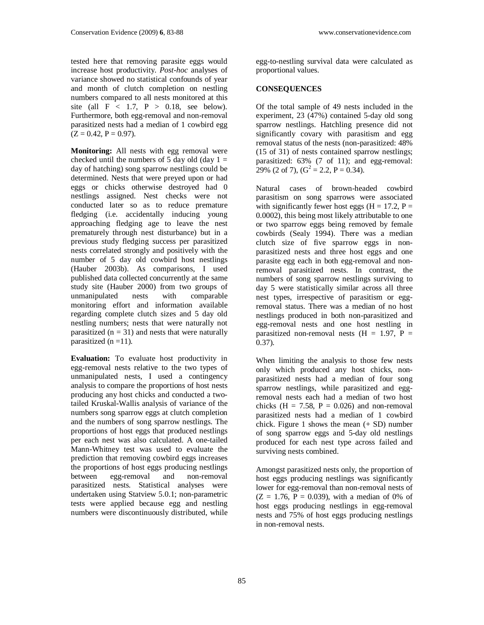tested here that removing parasite eggs would increase host productivity. *Post-hoc* analyses of variance showed no statistical confounds of year and month of clutch completion on nestling numbers compared to all nests monitored at this site (all  $F < 1.7$ ,  $P > 0.18$ , see below). Furthermore, both egg-removal and non-removal parasitized nests had a median of 1 cowbird egg  $(Z = 0.42, P = 0.97)$ .

**Monitoring:** All nests with egg removal were checked until the numbers of 5 day old (day  $1 =$ day of hatching) song sparrow nestlings could be determined. Nests that were preyed upon or had eggs or chicks otherwise destroyed had 0 nestlings assigned. Nest checks were not conducted later so as to reduce premature fledging (i.e. accidentally inducing young approaching fledging age to leave the nest prematurely through nest disturbance) but in a previous study fledging success per parasitized nests correlated strongly and positively with the number of 5 day old cowbird host nestlings (Hauber 2003b). As comparisons, I used published data collected concurrently at the same study site (Hauber 2000) from two groups of unmanipulated nests with comparable monitoring effort and information available regarding complete clutch sizes and 5 day old nestling numbers; nests that were naturally not parasitized  $(n = 31)$  and nests that were naturally parasitized  $(n = 11)$ .

**Evaluation:** To evaluate host productivity in egg-removal nests relative to the two types of unmanipulated nests, I used a contingency analysis to compare the proportions of host nests producing any host chicks and conducted a twotailed Kruskal-Wallis analysis of variance of the numbers song sparrow eggs at clutch completion and the numbers of song sparrow nestlings. The proportions of host eggs that produced nestlings per each nest was also calculated. A one-tailed Mann-Whitney test was used to evaluate the prediction that removing cowbird eggs increases the proportions of host eggs producing nestlings<br>between egg-removal and non-removal between egg-removal and parasitized nests. Statistical analyses were undertaken using Statview 5.0.1; non-parametric tests were applied because egg and nestling numbers were discontinuously distributed, while

egg-to-nestling survival data were calculated as proportional values.

# **CONSEQUENCES**

Of the total sample of 49 nests included in the experiment, 23 (47%) contained 5-day old song sparrow nestlings. Hatchling presence did not significantly covary with parasitism and egg removal status of the nests (non-parasitized: 48% (15 of 31) of nests contained sparrow nestlings; parasitized: 63% (7 of 11); and egg-removal: 29% (2 of 7),  $(G^2 = 2.2, P = 0.34)$ .

Natural cases of brown-headed cowbird parasitism on song sparrows were associated with significantly fewer host eggs ( $H = 17.2$ ,  $P =$ 0.0002), this being most likely attributable to one or two sparrow eggs being removed by female cowbirds (Sealy 1994). There was a median clutch size of five sparrow eggs in nonparasitized nests and three host eggs and one parasite egg each in both egg-removal and nonremoval parasitized nests. In contrast, the numbers of song sparrow nestlings surviving to day 5 were statistically similar across all three nest types, irrespective of parasitism or eggremoval status. There was a median of no host nestlings produced in both non-parasitized and egg-removal nests and one host nestling in parasitized non-removal nests  $(H = 1.97, P =$  $(0.37)$ .

When limiting the analysis to those few nests only which produced any host chicks, nonparasitized nests had a median of four song sparrow nestlings, while parasitized and eggremoval nests each had a median of two host chicks (H = 7.58, P = 0.026) and non-removal parasitized nests had a median of 1 cowbird chick. Figure 1 shows the mean (+ SD) number of song sparrow eggs and 5-day old nestlings produced for each nest type across failed and surviving nests combined.

Amongst parasitized nests only, the proportion of host eggs producing nestlings was significantly lower for egg-removal than non-removal nests of  $(Z = 1.76, P = 0.039)$ , with a median of 0% of host eggs producing nestlings in egg-removal nests and 75% of host eggs producing nestlings in non-removal nests.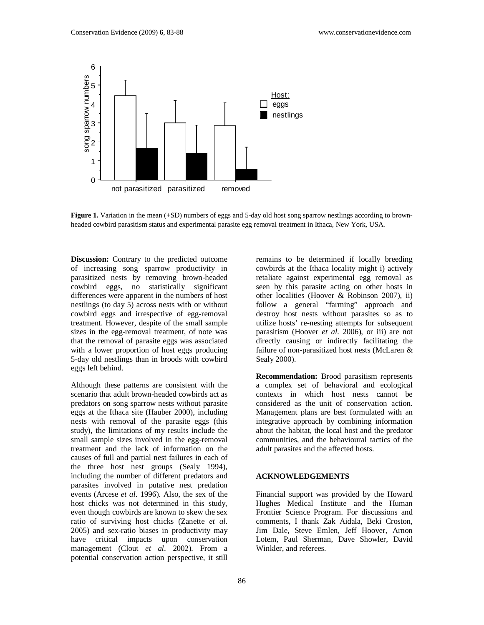

**Figure 1.** Variation in the mean (+SD) numbers of eggs and 5-day old host song sparrow nestlings according to brownheaded cowbird parasitism status and experimental parasite egg removal treatment in Ithaca, New York, USA.

**Discussion:** Contrary to the predicted outcome of increasing song sparrow productivity in parasitized nests by removing brown-headed cowbird eggs, no statistically significant differences were apparent in the numbers of host nestlings (to day 5) across nests with or without cowbird eggs and irrespective of egg-removal treatment. However, despite of the small sample sizes in the egg-removal treatment, of note was that the removal of parasite eggs was associated with a lower proportion of host eggs producing 5-day old nestlings than in broods with cowbird eggs left behind.

Although these patterns are consistent with the scenario that adult brown-headed cowbirds act as predators on song sparrow nests without parasite eggs at the Ithaca site (Hauber 2000), including nests with removal of the parasite eggs (this study), the limitations of my results include the small sample sizes involved in the egg-removal treatment and the lack of information on the causes of full and partial nest failures in each of the three host nest groups (Sealy 1994), including the number of different predators and parasites involved in putative nest predation events (Arcese *et al*. 1996). Also, the sex of the host chicks was not determined in this study, even though cowbirds are known to skew the sex ratio of surviving host chicks (Zanette *et al*. 2005) and sex-ratio biases in productivity may have critical impacts upon conservation management (Clout *et al*. 2002). From a potential conservation action perspective, it still

remains to be determined if locally breeding cowbirds at the Ithaca locality might i) actively retaliate against experimental egg removal as seen by this parasite acting on other hosts in other localities (Hoover & Robinson 2007), ii) follow a general "farming" approach and destroy host nests without parasites so as to utilize hosts' re-nesting attempts for subsequent parasitism (Hoover *et al*. 2006), or iii) are not directly causing or indirectly facilitating the failure of non-parasitized host nests (McLaren & Sealy 2000).

**Recommendation:** Brood parasitism represents a complex set of behavioral and ecological contexts in which host nests cannot be considered as the unit of conservation action. Management plans are best formulated with an integrative approach by combining information about the habitat, the local host and the predator communities, and the behavioural tactics of the adult parasites and the affected hosts.

#### **ACKNOWLEDGEMENTS**

Financial support was provided by the Howard Hughes Medical Institute and the Human Frontier Science Program. For discussions and comments, I thank Zak Aidala, Beki Croston, Jim Dale, Steve Emlen, Jeff Hoover, Arnon Lotem, Paul Sherman, Dave Showler, David Winkler, and referees.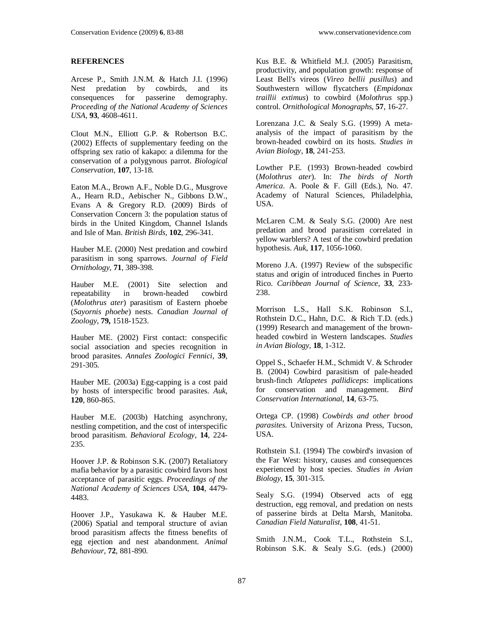# **REFERENCES**

Arcese P., Smith J.N.M. & Hatch J.I. (1996) Nest predation by cowbirds, and its consequences for passerine demography. *Proceeding of the National Academy of Sciences USA*, **93**, 4608-4611.

Clout M.N., Elliott G.P. & Robertson B.C. (2002) Effects of supplementary feeding on the offspring sex ratio of kakapo: a dilemma for the conservation of a polygynous parrot. *Biological Conservation*, **107**, 13-18.

Eaton M.A., Brown A.F., Noble D.G., Musgrove A., Hearn R.D., Aebischer N., Gibbons D.W., Evans A & Gregory R.D. (2009) Birds of Conservation Concern 3: the population status of birds in the United Kingdom, Channel Islands and Isle of Man. *British Birds*, **102**, 296-341.

Hauber M.E. (2000) Nest predation and cowbird parasitism in song sparrows. *Journal of Field Ornithology*, **71**, 389-398.

Hauber M.E. (2001) Site selection and repeatability in brown-headed cowbird (*Molothrus ater*) parasitism of Eastern phoebe (*Sayornis phoebe*) nests. *Canadian Journal of Zoology*, **79,** 1518-1523.

Hauber ME. (2002) First contact: conspecific social association and species recognition in brood parasites. *Annales Zoologici Fennici*, **39**, 291-305.

Hauber ME. (2003a) Egg-capping is a cost paid by hosts of interspecific brood parasites. *Auk*, **120**, 860-865.

Hauber M.E. (2003b) Hatching asynchrony, nestling competition, and the cost of interspecific brood parasitism. *Behavioral Ecology*, **14**, 224- 235.

Hoover J.P. & Robinson S.K. (2007) Retaliatory mafia behavior by a parasitic cowbird favors host acceptance of parasitic eggs. *Proceedings of the National Academy of Sciences USA*, **104**, 4479- 4483.

Hoover J.P., Yasukawa K. & Hauber M.E. (2006) Spatial and temporal structure of avian brood parasitism affects the fitness benefits of egg ejection and nest abandonment. *Animal Behaviour*, **72**, 881-890.

Kus B.E. & Whitfield M.J. (2005) Parasitism, productivity, and population growth: response of Least Bell's vireos (*Vireo bellii pusillus*) and Southwestern willow flycatchers (*Empidonax traillii extimus*) to cowbird (*Molothrus* spp.) control. *Ornithological Monographs*, **57**, 16-27.

Lorenzana J.C. & Sealy S.G. (1999) A metaanalysis of the impact of parasitism by the brown-headed cowbird on its hosts. *Studies in Avian Biology*, **18**, 241-253.

Lowther P.E. (1993) Brown-headed cowbird (*Molothrus ater*). In: *The birds of North America*. A. Poole & F. Gill (Eds.), No. 47. Academy of Natural Sciences, Philadelphia, USA.

McLaren C.M. & Sealy S.G. (2000) Are nest predation and brood parasitism correlated in yellow warblers? A test of the cowbird predation hypothesis. *Auk*, **117**, 1056-1060.

Moreno J.A. (1997) Review of the subspecific status and origin of introduced finches in Puerto Rico. *Caribbean Journal of Science*, **33**, 233- 238.

Morrison L.S., Hall S.K. Robinson S.I., Rothstein D.C., Hahn, D.C. & Rich T.D. (eds.) (1999) Research and management of the brownheaded cowbird in Western landscapes. *Studies in Avian Biology*, **18**, 1-312.

Oppel S., Schaefer H.M., Schmidt V. & Schroder B. (2004) Cowbird parasitism of pale-headed brush-finch *Atlapetes pallidiceps*: implications for conservation and management. *Bird Conservation International*, **14**, 63-75.

Ortega CP. (1998) *Cowbirds and other brood parasites*. University of Arizona Press, Tucson, USA.

Rothstein S.I. (1994) The cowbird's invasion of the Far West: history, causes and consequences experienced by host species. *Studies in Avian Biology*, **15**, 301-315.

Sealy S.G. (1994) Observed acts of egg destruction, egg removal, and predation on nests of passerine birds at Delta Marsh, Manitoba. *Canadian Field Naturalist*, **108**, 41-51.

Smith J.N.M., Cook T.L., Rothstein S.I., Robinson S.K. & Sealy S.G. (eds.) (2000)